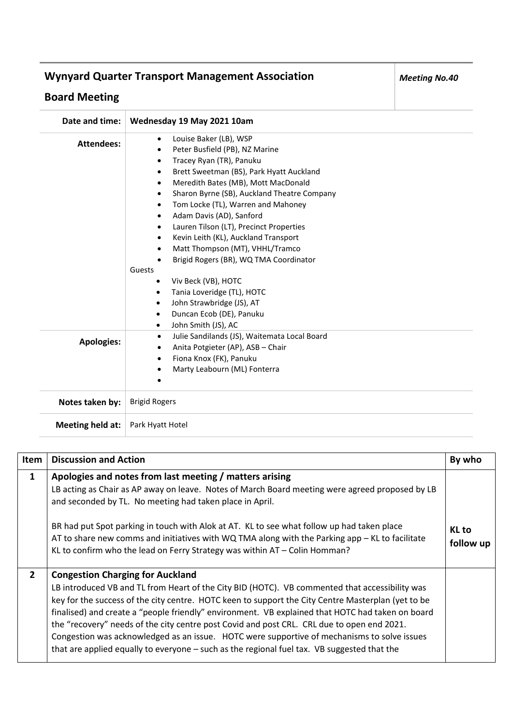## **Wynyard Quarter Transport Management Association**

## **Board Meeting**

| Date and time:    | Wednesday 19 May 2021 10am                                                                                                                                                                                                                                                                                                                                                                                                                                                                                                                                                                                                                               |
|-------------------|----------------------------------------------------------------------------------------------------------------------------------------------------------------------------------------------------------------------------------------------------------------------------------------------------------------------------------------------------------------------------------------------------------------------------------------------------------------------------------------------------------------------------------------------------------------------------------------------------------------------------------------------------------|
| <b>Attendees:</b> | Louise Baker (LB), WSP<br>$\bullet$<br>Peter Busfield (PB), NZ Marine<br>Tracey Ryan (TR), Panuku<br>Brett Sweetman (BS), Park Hyatt Auckland<br>Meredith Bates (MB), Mott MacDonald<br>Sharon Byrne (SB), Auckland Theatre Company<br>Tom Locke (TL), Warren and Mahoney<br>Adam Davis (AD), Sanford<br>Lauren Tilson (LT), Precinct Properties<br>Kevin Leith (KL), Auckland Transport<br>Matt Thompson (MT), VHHL/Tramco<br>Brigid Rogers (BR), WQ TMA Coordinator<br>Guests<br>Viv Beck (VB), HOTC<br>Tania Loveridge (TL), HOTC<br>$\bullet$<br>John Strawbridge (JS), AT<br>٠<br>Duncan Ecob (DE), Panuku<br>$\bullet$<br>John Smith (JS), AC<br>٠ |
| <b>Apologies:</b> | Julie Sandilands (JS), Waitemata Local Board<br>Anita Potgieter (AP), ASB - Chair<br>Fiona Knox (FK), Panuku<br>$\bullet$<br>Marty Leabourn (ML) Fonterra                                                                                                                                                                                                                                                                                                                                                                                                                                                                                                |
| Notes taken by:   | <b>Brigid Rogers</b>                                                                                                                                                                                                                                                                                                                                                                                                                                                                                                                                                                                                                                     |
| Meeting held at:  | Park Hyatt Hotel                                                                                                                                                                                                                                                                                                                                                                                                                                                                                                                                                                                                                                         |

| Item           | <b>Discussion and Action</b>                                                                                                                                                                                                                                                                                                                                                                                                                                                                                                                                                                                                                    | By who             |
|----------------|-------------------------------------------------------------------------------------------------------------------------------------------------------------------------------------------------------------------------------------------------------------------------------------------------------------------------------------------------------------------------------------------------------------------------------------------------------------------------------------------------------------------------------------------------------------------------------------------------------------------------------------------------|--------------------|
| $\mathbf{1}$   | Apologies and notes from last meeting / matters arising<br>LB acting as Chair as AP away on leave. Notes of March Board meeting were agreed proposed by LB<br>and seconded by TL. No meeting had taken place in April.<br>BR had put Spot parking in touch with Alok at AT. KL to see what follow up had taken place<br>AT to share new comms and initiatives with WQ TMA along with the Parking app - KL to facilitate<br>KL to confirm who the lead on Ferry Strategy was within AT - Colin Homman?                                                                                                                                           | KL to<br>follow up |
| $\overline{2}$ | <b>Congestion Charging for Auckland</b><br>LB introduced VB and TL from Heart of the City BID (HOTC). VB commented that accessibility was<br>key for the success of the city centre. HOTC keen to support the City Centre Masterplan (yet to be<br>finalised) and create a "people friendly" environment. VB explained that HOTC had taken on board<br>the "recovery" needs of the city centre post Covid and post CRL. CRL due to open end 2021.<br>Congestion was acknowledged as an issue. HOTC were supportive of mechanisms to solve issues<br>that are applied equally to everyone - such as the regional fuel tax. VB suggested that the |                    |

*Meeting No.40*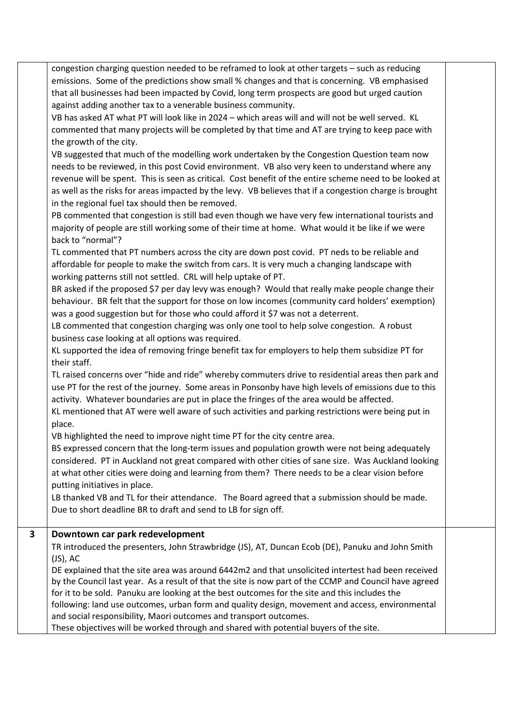|   | congestion charging question needed to be reframed to look at other targets - such as reducing          |  |
|---|---------------------------------------------------------------------------------------------------------|--|
|   | emissions. Some of the predictions show small % changes and that is concerning. VB emphasised           |  |
|   | that all businesses had been impacted by Covid, long term prospects are good but urged caution          |  |
|   | against adding another tax to a venerable business community.                                           |  |
|   | VB has asked AT what PT will look like in 2024 - which areas will and will not be well served. KL       |  |
|   |                                                                                                         |  |
|   | commented that many projects will be completed by that time and AT are trying to keep pace with         |  |
|   | the growth of the city.                                                                                 |  |
|   | VB suggested that much of the modelling work undertaken by the Congestion Question team now             |  |
|   | needs to be reviewed, in this post Covid environment. VB also very keen to understand where any         |  |
|   | revenue will be spent. This is seen as critical. Cost benefit of the entire scheme need to be looked at |  |
|   | as well as the risks for areas impacted by the levy. VB believes that if a congestion charge is brought |  |
|   | in the regional fuel tax should then be removed.                                                        |  |
|   |                                                                                                         |  |
|   | PB commented that congestion is still bad even though we have very few international tourists and       |  |
|   | majority of people are still working some of their time at home. What would it be like if we were       |  |
|   | back to "normal"?                                                                                       |  |
|   | TL commented that PT numbers across the city are down post covid. PT neds to be reliable and            |  |
|   | affordable for people to make the switch from cars. It is very much a changing landscape with           |  |
|   | working patterns still not settled. CRL will help uptake of PT.                                         |  |
|   | BR asked if the proposed \$7 per day levy was enough? Would that really make people change their        |  |
|   |                                                                                                         |  |
|   | behaviour. BR felt that the support for those on low incomes (community card holders' exemption)        |  |
|   | was a good suggestion but for those who could afford it \$7 was not a deterrent.                        |  |
|   | LB commented that congestion charging was only one tool to help solve congestion. A robust              |  |
|   | business case looking at all options was required.                                                      |  |
|   | KL supported the idea of removing fringe benefit tax for employers to help them subsidize PT for        |  |
|   | their staff.                                                                                            |  |
|   | TL raised concerns over "hide and ride" whereby commuters drive to residential areas then park and      |  |
|   | use PT for the rest of the journey. Some areas in Ponsonby have high levels of emissions due to this    |  |
|   | activity. Whatever boundaries are put in place the fringes of the area would be affected.               |  |
|   |                                                                                                         |  |
|   | KL mentioned that AT were well aware of such activities and parking restrictions were being put in      |  |
|   | place.                                                                                                  |  |
|   | VB highlighted the need to improve night time PT for the city centre area.                              |  |
|   | BS expressed concern that the long-term issues and population growth were not being adequately          |  |
|   | considered. PT in Auckland not great compared with other cities of sane size. Was Auckland looking      |  |
|   | at what other cities were doing and learning from them? There needs to be a clear vision before         |  |
|   | putting initiatives in place.                                                                           |  |
|   | LB thanked VB and TL for their attendance. The Board agreed that a submission should be made.           |  |
|   | Due to short deadline BR to draft and send to LB for sign off.                                          |  |
|   |                                                                                                         |  |
| 3 | Downtown car park redevelopment                                                                         |  |
|   | TR introduced the presenters, John Strawbridge (JS), AT, Duncan Ecob (DE), Panuku and John Smith        |  |
|   | $(JS)$ , AC                                                                                             |  |
|   | DE explained that the site area was around 6442m2 and that unsolicited intertest had been received      |  |
|   | by the Council last year. As a result of that the site is now part of the CCMP and Council have agreed  |  |
|   | for it to be sold. Panuku are looking at the best outcomes for the site and this includes the           |  |
|   |                                                                                                         |  |
|   | following: land use outcomes, urban form and quality design, movement and access, environmental         |  |
|   | and social responsibility, Maori outcomes and transport outcomes.                                       |  |
|   | These objectives will be worked through and shared with potential buyers of the site.                   |  |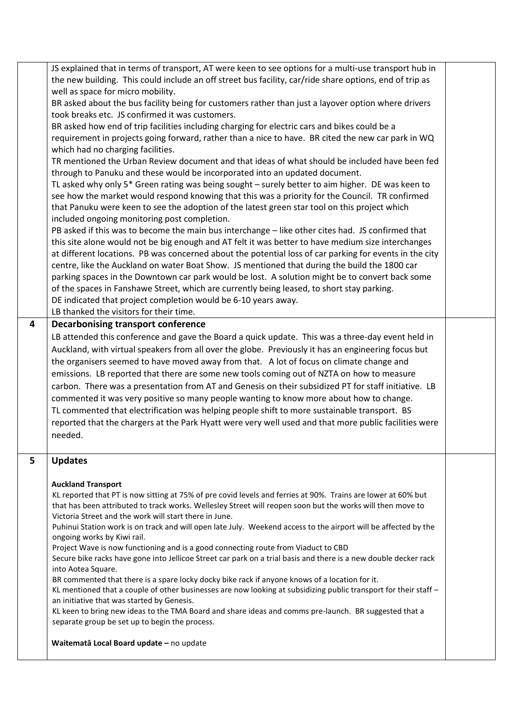|   | JS explained that in terms of transport, AT were keen to see options for a multi-use transport hub in                                                                                                  |  |
|---|--------------------------------------------------------------------------------------------------------------------------------------------------------------------------------------------------------|--|
|   | the new building. This could include an off street bus facility, car/ride share options, end of trip as                                                                                                |  |
|   | well as space for micro mobility.                                                                                                                                                                      |  |
|   | BR asked about the bus facility being for customers rather than just a layover option where drivers                                                                                                    |  |
|   | took breaks etc. JS confirmed it was customers.                                                                                                                                                        |  |
|   | BR asked how end of trip facilities including charging for electric cars and bikes could be a                                                                                                          |  |
|   | requirement in projects going forward, rather than a nice to have. BR cited the new car park in WQ                                                                                                     |  |
|   | which had no charging facilities.                                                                                                                                                                      |  |
|   | TR mentioned the Urban Review document and that ideas of what should be included have been fed                                                                                                         |  |
|   | through to Panuku and these would be incorporated into an updated document.                                                                                                                            |  |
|   | TL asked why only 5* Green rating was being sought – surely better to aim higher. DE was keen to                                                                                                       |  |
|   |                                                                                                                                                                                                        |  |
|   | see how the market would respond knowing that this was a priority for the Council. TR confirmed                                                                                                        |  |
|   | that Panuku were keen to see the adoption of the latest green star tool on this project which                                                                                                          |  |
|   | included ongoing monitoring post completion.                                                                                                                                                           |  |
|   | PB asked if this was to become the main bus interchange - like other cites had. JS confirmed that                                                                                                      |  |
|   | this site alone would not be big enough and AT felt it was better to have medium size interchanges                                                                                                     |  |
|   | at different locations. PB was concerned about the potential loss of car parking for events in the city                                                                                                |  |
|   | centre, like the Auckland on water Boat Show. JS mentioned that during the build the 1800 car                                                                                                          |  |
|   | parking spaces in the Downtown car park would be lost. A solution might be to convert back some                                                                                                        |  |
|   | of the spaces in Fanshawe Street, which are currently being leased, to short stay parking.                                                                                                             |  |
|   | DE indicated that project completion would be 6-10 years away.                                                                                                                                         |  |
|   | LB thanked the visitors for their time.                                                                                                                                                                |  |
| 4 | <b>Decarbonising transport conference</b>                                                                                                                                                              |  |
|   | LB attended this conference and gave the Board a quick update. This was a three-day event held in                                                                                                      |  |
|   | Auckland, with virtual speakers from all over the globe. Previously it has an engineering focus but                                                                                                    |  |
|   | the organisers seemed to have moved away from that. A lot of focus on climate change and                                                                                                               |  |
|   | emissions. LB reported that there are some new tools coming out of NZTA on how to measure                                                                                                              |  |
|   | carbon. There was a presentation from AT and Genesis on their subsidized PT for staff initiative. LB                                                                                                   |  |
|   | commented it was very positive so many people wanting to know more about how to change.                                                                                                                |  |
|   | TL commented that electrification was helping people shift to more sustainable transport. BS                                                                                                           |  |
|   |                                                                                                                                                                                                        |  |
|   | reported that the chargers at the Park Hyatt were very well used and that more public facilities were                                                                                                  |  |
|   | needed.                                                                                                                                                                                                |  |
|   |                                                                                                                                                                                                        |  |
| 5 | <b>Updates</b>                                                                                                                                                                                         |  |
|   |                                                                                                                                                                                                        |  |
|   | <b>Auckland Transport</b>                                                                                                                                                                              |  |
|   | KL reported that PT is now sitting at 75% of pre covid levels and ferries at 90%. Trains are lower at 60% but                                                                                          |  |
|   | that has been attributed to track works. Wellesley Street will reopen soon but the works will then move to                                                                                             |  |
|   | Victoria Street and the work will start there in June.                                                                                                                                                 |  |
|   | Puhinui Station work is on track and will open late July. Weekend access to the airport will be affected by the                                                                                        |  |
|   | ongoing works by Kiwi rail.                                                                                                                                                                            |  |
|   | Project Wave is now functioning and is a good connecting route from Viaduct to CBD<br>Secure bike racks have gone into Jellicoe Street car park on a trial basis and there is a new double decker rack |  |
|   | into Aotea Square.                                                                                                                                                                                     |  |
|   | BR commented that there is a spare locky docky bike rack if anyone knows of a location for it.                                                                                                         |  |
|   | KL mentioned that a couple of other businesses are now looking at subsidizing public transport for their staff -                                                                                       |  |
|   | an initiative that was started by Genesis.                                                                                                                                                             |  |
|   | KL keen to bring new ideas to the TMA Board and share ideas and comms pre-launch. BR suggested that a                                                                                                  |  |
|   | separate group be set up to begin the process.                                                                                                                                                         |  |
|   |                                                                                                                                                                                                        |  |
|   | Waitematā Local Board update - no update                                                                                                                                                               |  |
|   |                                                                                                                                                                                                        |  |